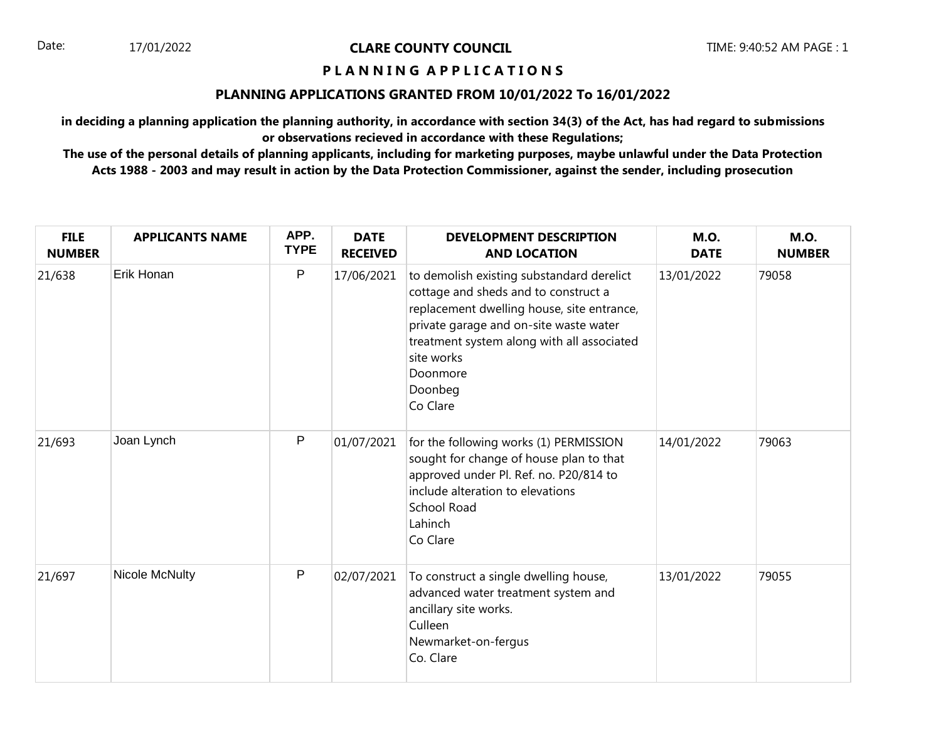## **P L A N N I N G A P P L I C A T I O N S**

### **PLANNING APPLICATIONS GRANTED FROM 10/01/2022 To 16/01/2022**

**in deciding a planning application the planning authority, in accordance with section 34(3) of the Act, has had regard to submissions or observations recieved in accordance with these Regulations;**

| <b>FILE</b><br><b>NUMBER</b> | <b>APPLICANTS NAME</b> | APP.<br><b>TYPE</b> | <b>DATE</b><br><b>RECEIVED</b> | <b>DEVELOPMENT DESCRIPTION</b><br><b>AND LOCATION</b>                                                                                                                                                                                                                    | <b>M.O.</b><br><b>DATE</b> | <b>M.O.</b><br><b>NUMBER</b> |
|------------------------------|------------------------|---------------------|--------------------------------|--------------------------------------------------------------------------------------------------------------------------------------------------------------------------------------------------------------------------------------------------------------------------|----------------------------|------------------------------|
| 21/638                       | Erik Honan             | ${\sf P}$           | 17/06/2021                     | to demolish existing substandard derelict<br>cottage and sheds and to construct a<br>replacement dwelling house, site entrance,<br>private garage and on-site waste water<br>treatment system along with all associated<br>site works<br>Doonmore<br>Doonbeg<br>Co Clare | 13/01/2022                 | 79058                        |
| 21/693                       | Joan Lynch             | P                   | 01/07/2021                     | for the following works (1) PERMISSION<br>sought for change of house plan to that<br>approved under Pl. Ref. no. P20/814 to<br>include alteration to elevations<br>School Road<br>Lahinch<br>Co Clare                                                                    | 14/01/2022                 | 79063                        |
| 21/697                       | Nicole McNulty         | P                   | 02/07/2021                     | To construct a single dwelling house,<br>advanced water treatment system and<br>ancillary site works.<br>Culleen<br>Newmarket-on-fergus<br>Co. Clare                                                                                                                     | 13/01/2022                 | 79055                        |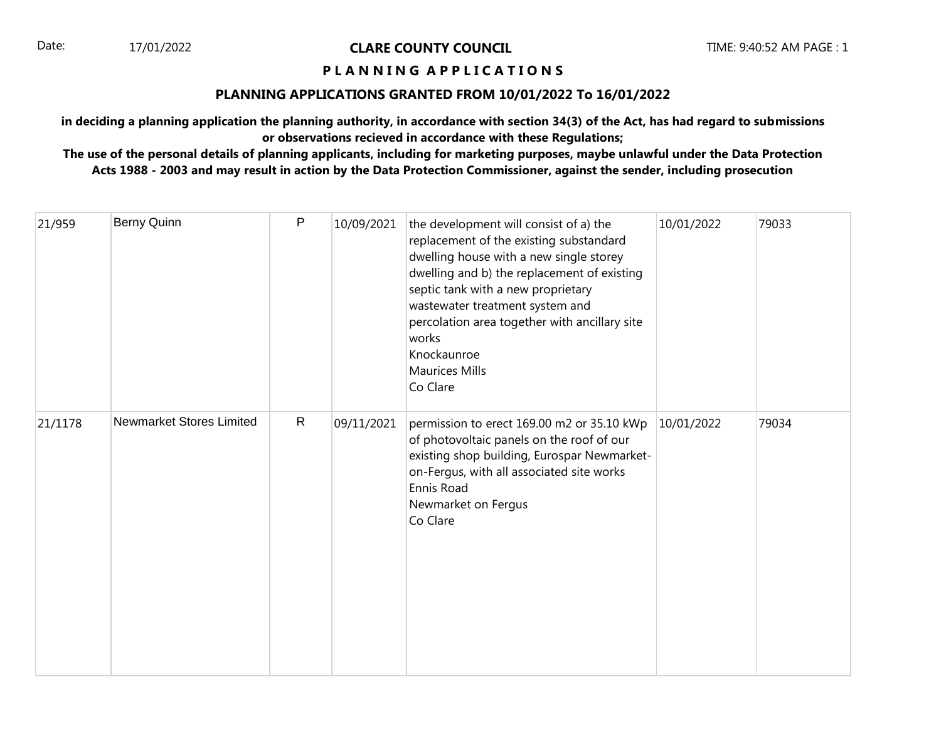## **P L A N N I N G A P P L I C A T I O N S**

### **PLANNING APPLICATIONS GRANTED FROM 10/01/2022 To 16/01/2022**

**in deciding a planning application the planning authority, in accordance with section 34(3) of the Act, has had regard to submissions or observations recieved in accordance with these Regulations;**

| 21/959  | Berny Quinn              | P            | 10/09/2021 | the development will consist of a) the<br>replacement of the existing substandard<br>dwelling house with a new single storey<br>dwelling and b) the replacement of existing<br>septic tank with a new proprietary<br>wastewater treatment system and<br>percolation area together with ancillary site<br>works<br>Knockaunroe<br><b>Maurices Mills</b><br>Co Clare | 10/01/2022 | 79033 |
|---------|--------------------------|--------------|------------|--------------------------------------------------------------------------------------------------------------------------------------------------------------------------------------------------------------------------------------------------------------------------------------------------------------------------------------------------------------------|------------|-------|
| 21/1178 | Newmarket Stores Limited | $\mathsf{R}$ | 09/11/2021 | permission to erect 169.00 m2 or 35.10 kWp<br>of photovoltaic panels on the roof of our<br>existing shop building, Eurospar Newmarket-<br>on-Fergus, with all associated site works<br>Ennis Road<br>Newmarket on Fergus<br>Co Clare                                                                                                                               | 10/01/2022 | 79034 |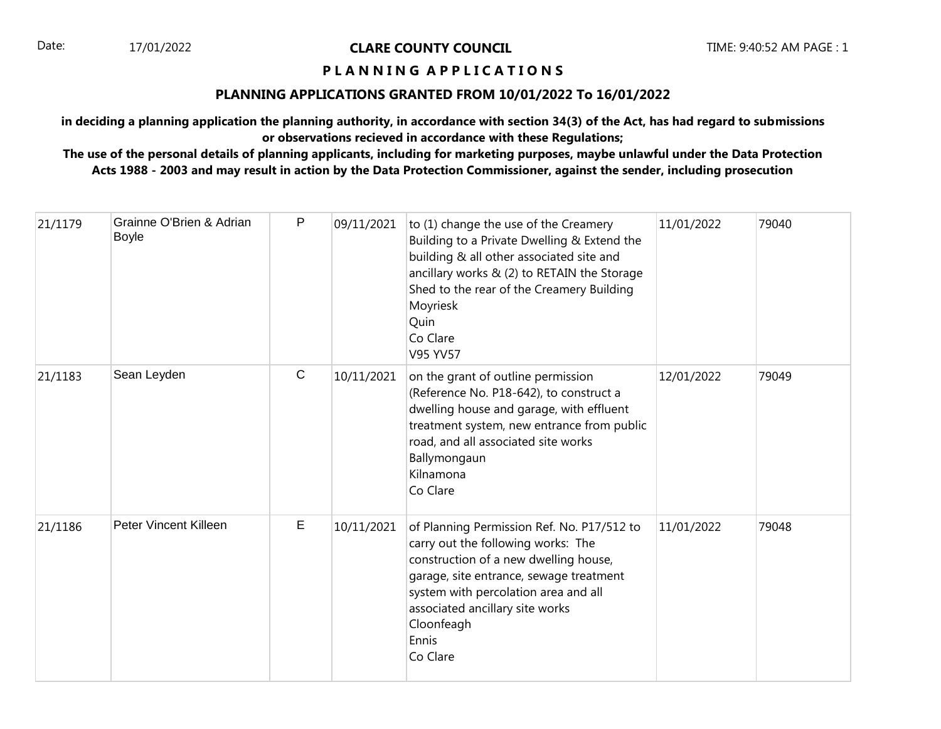## **P L A N N I N G A P P L I C A T I O N S**

## **PLANNING APPLICATIONS GRANTED FROM 10/01/2022 To 16/01/2022**

**in deciding a planning application the planning authority, in accordance with section 34(3) of the Act, has had regard to submissions or observations recieved in accordance with these Regulations;**

| 21/1179 | Grainne O'Brien & Adrian<br><b>Boyle</b> | P            | 09/11/2021 | to (1) change the use of the Creamery<br>Building to a Private Dwelling & Extend the<br>building & all other associated site and<br>ancillary works & (2) to RETAIN the Storage<br>Shed to the rear of the Creamery Building<br>Moyriesk<br>Quin<br>Co Clare<br>V95 YV57           | 11/01/2022 | 79040 |
|---------|------------------------------------------|--------------|------------|------------------------------------------------------------------------------------------------------------------------------------------------------------------------------------------------------------------------------------------------------------------------------------|------------|-------|
| 21/1183 | Sean Leyden                              | $\mathsf{C}$ | 10/11/2021 | on the grant of outline permission<br>(Reference No. P18-642), to construct a<br>dwelling house and garage, with effluent<br>treatment system, new entrance from public<br>road, and all associated site works<br>Ballymongaun<br>Kilnamona<br>Co Clare                            | 12/01/2022 | 79049 |
| 21/1186 | Peter Vincent Killeen                    | Е            | 10/11/2021 | of Planning Permission Ref. No. P17/512 to<br>carry out the following works: The<br>construction of a new dwelling house,<br>garage, site entrance, sewage treatment<br>system with percolation area and all<br>associated ancillary site works<br>Cloonfeagh<br>Ennis<br>Co Clare | 11/01/2022 | 79048 |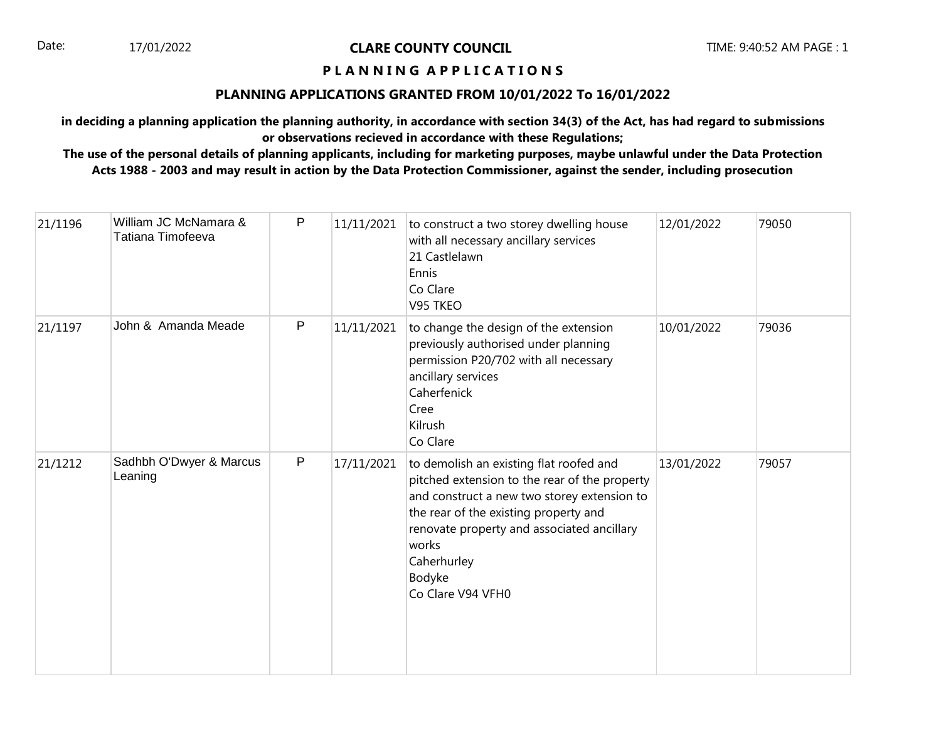## **P L A N N I N G A P P L I C A T I O N S**

## **PLANNING APPLICATIONS GRANTED FROM 10/01/2022 To 16/01/2022**

**in deciding a planning application the planning authority, in accordance with section 34(3) of the Act, has had regard to submissions or observations recieved in accordance with these Regulations;**

| 21/1196 | William JC McNamara &<br>Tatiana Timofeeva | P            | 11/11/2021 | to construct a two storey dwelling house<br>with all necessary ancillary services<br>21 Castlelawn<br>Ennis<br>Co Clare<br>V95 TKEO                                                                                                                                                   | 12/01/2022 | 79050 |
|---------|--------------------------------------------|--------------|------------|---------------------------------------------------------------------------------------------------------------------------------------------------------------------------------------------------------------------------------------------------------------------------------------|------------|-------|
| 21/1197 | John & Amanda Meade                        | $\mathsf{P}$ | 11/11/2021 | to change the design of the extension<br>previously authorised under planning<br>permission P20/702 with all necessary<br>ancillary services<br>Caherfenick<br>Cree<br>Kilrush<br>Co Clare                                                                                            | 10/01/2022 | 79036 |
| 21/1212 | Sadhbh O'Dwyer & Marcus<br>Leaning         | $\mathsf{P}$ | 17/11/2021 | to demolish an existing flat roofed and<br>pitched extension to the rear of the property<br>and construct a new two storey extension to<br>the rear of the existing property and<br>renovate property and associated ancillary<br>works<br>Caherhurley<br>Bodyke<br>Co Clare V94 VFH0 | 13/01/2022 | 79057 |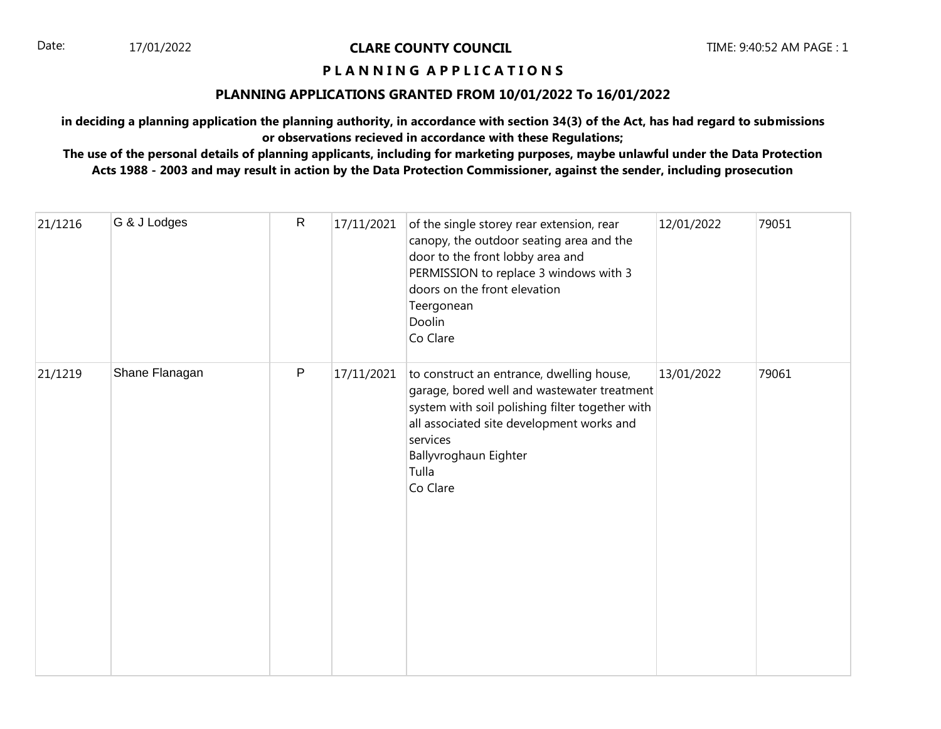## **P L A N N I N G A P P L I C A T I O N S**

### **PLANNING APPLICATIONS GRANTED FROM 10/01/2022 To 16/01/2022**

**in deciding a planning application the planning authority, in accordance with section 34(3) of the Act, has had regard to submissions or observations recieved in accordance with these Regulations;**

| 21/1216 | G & J Lodges   | $\mathsf{R}$ | 17/11/2021 | of the single storey rear extension, rear<br>canopy, the outdoor seating area and the<br>door to the front lobby area and<br>PERMISSION to replace 3 windows with 3<br>doors on the front elevation<br>Teergonean<br>Doolin<br>Co Clare            | 12/01/2022 | 79051 |
|---------|----------------|--------------|------------|----------------------------------------------------------------------------------------------------------------------------------------------------------------------------------------------------------------------------------------------------|------------|-------|
| 21/1219 | Shane Flanagan | $\sf P$      | 17/11/2021 | to construct an entrance, dwelling house,<br>garage, bored well and wastewater treatment<br>system with soil polishing filter together with<br>all associated site development works and<br>services<br>Ballyvroghaun Eighter<br>Tulla<br>Co Clare | 13/01/2022 | 79061 |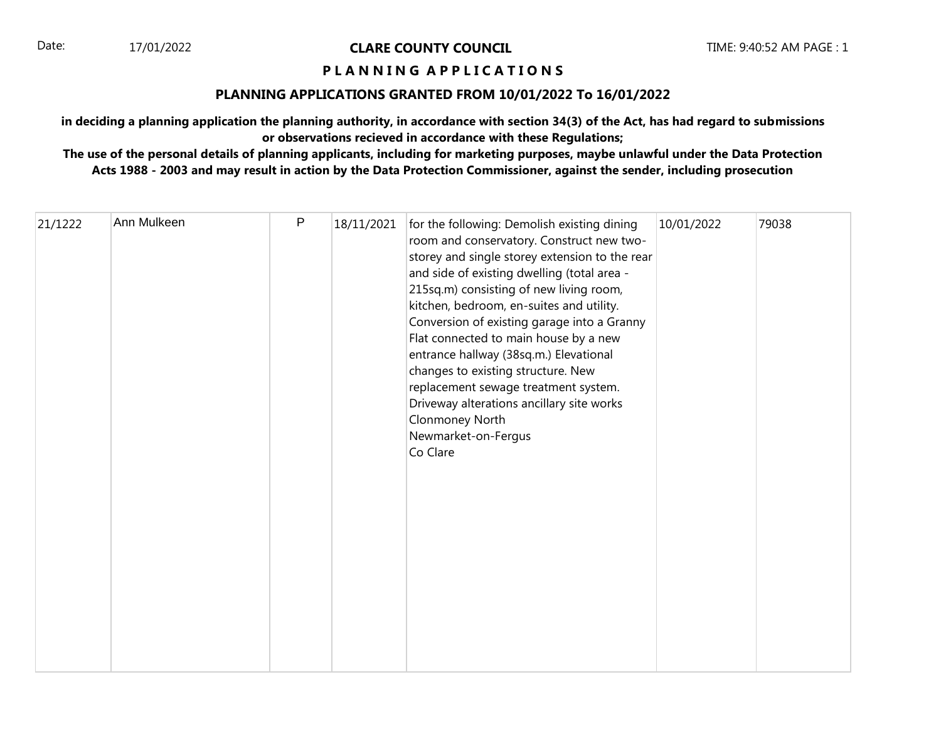## **P L A N N I N G A P P L I C A T I O N S**

## **PLANNING APPLICATIONS GRANTED FROM 10/01/2022 To 16/01/2022**

**in deciding a planning application the planning authority, in accordance with section 34(3) of the Act, has had regard to submissions or observations recieved in accordance with these Regulations;**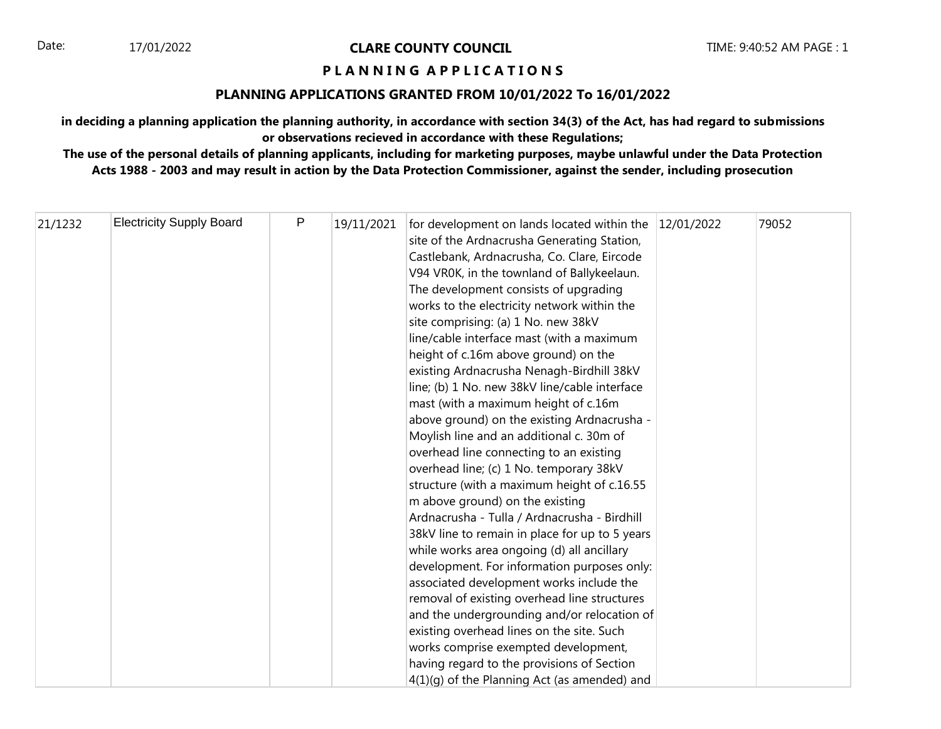## **P L A N N I N G A P P L I C A T I O N S**

## **PLANNING APPLICATIONS GRANTED FROM 10/01/2022 To 16/01/2022**

**in deciding a planning application the planning authority, in accordance with section 34(3) of the Act, has had regard to submissions or observations recieved in accordance with these Regulations;**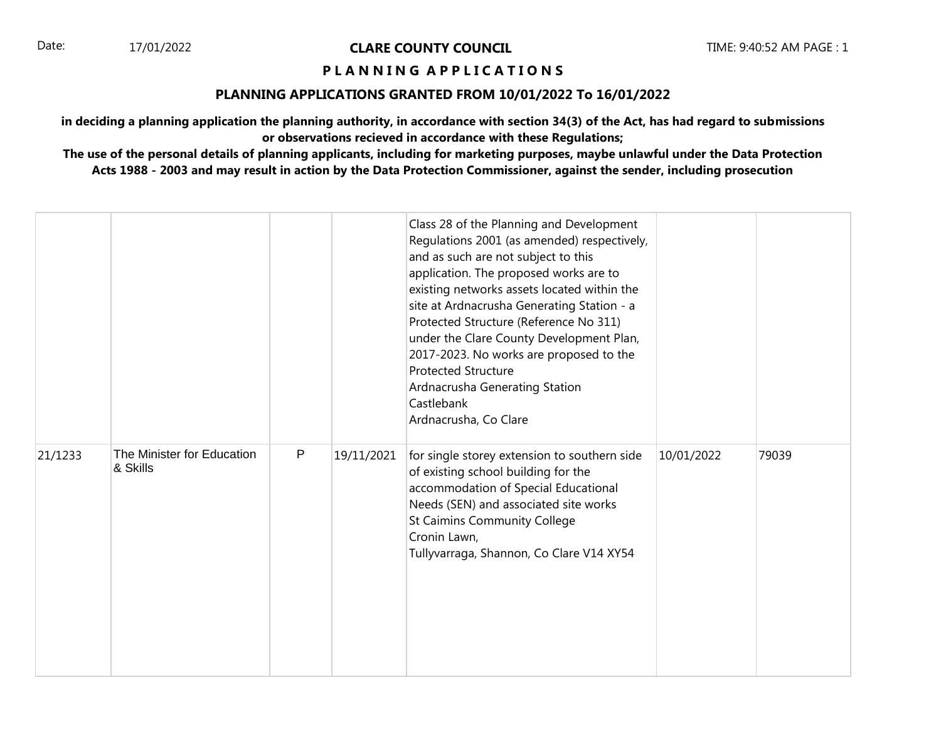## **P L A N N I N G A P P L I C A T I O N S**

### **PLANNING APPLICATIONS GRANTED FROM 10/01/2022 To 16/01/2022**

**in deciding a planning application the planning authority, in accordance with section 34(3) of the Act, has had regard to submissions or observations recieved in accordance with these Regulations;**

|         |                                        |   |            | Class 28 of the Planning and Development<br>Regulations 2001 (as amended) respectively,<br>and as such are not subject to this<br>application. The proposed works are to<br>existing networks assets located within the<br>site at Ardnacrusha Generating Station - a<br>Protected Structure (Reference No 311)<br>under the Clare County Development Plan,<br>2017-2023. No works are proposed to the<br><b>Protected Structure</b><br>Ardnacrusha Generating Station<br>Castlebank<br>Ardnacrusha, Co Clare |            |       |
|---------|----------------------------------------|---|------------|---------------------------------------------------------------------------------------------------------------------------------------------------------------------------------------------------------------------------------------------------------------------------------------------------------------------------------------------------------------------------------------------------------------------------------------------------------------------------------------------------------------|------------|-------|
| 21/1233 | The Minister for Education<br>& Skills | P | 19/11/2021 | for single storey extension to southern side<br>of existing school building for the<br>accommodation of Special Educational<br>Needs (SEN) and associated site works<br>St Caimins Community College<br>Cronin Lawn,<br>Tullyvarraga, Shannon, Co Clare V14 XY54                                                                                                                                                                                                                                              | 10/01/2022 | 79039 |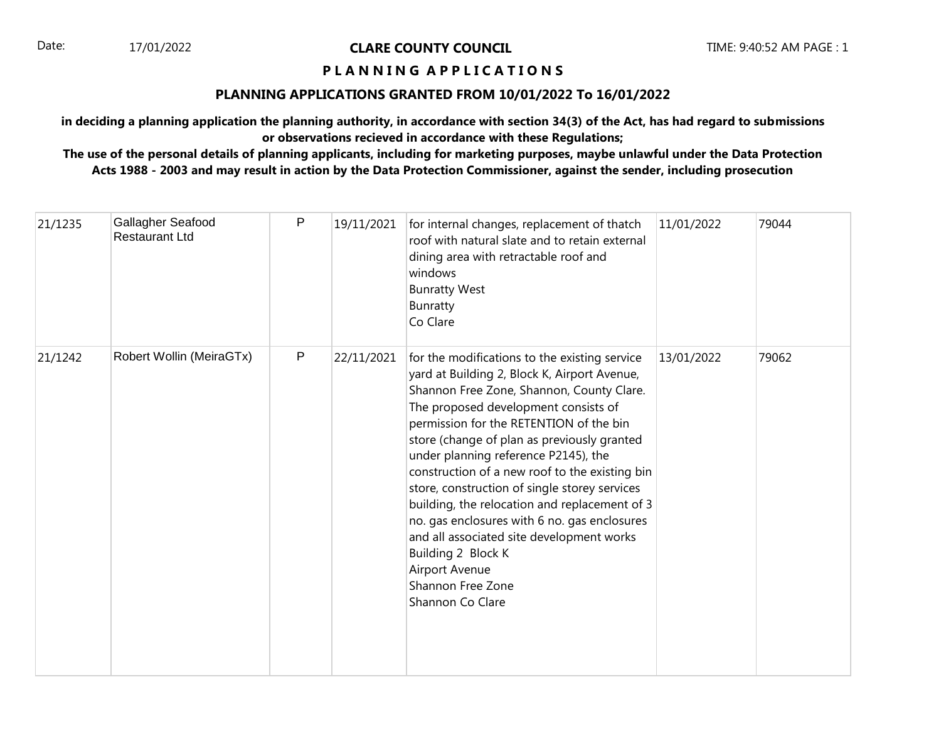## **P L A N N I N G A P P L I C A T I O N S**

### **PLANNING APPLICATIONS GRANTED FROM 10/01/2022 To 16/01/2022**

**in deciding a planning application the planning authority, in accordance with section 34(3) of the Act, has had regard to submissions or observations recieved in accordance with these Regulations;**

| 21/1235 | Gallagher Seafood<br><b>Restaurant Ltd</b> | P       | 19/11/2021 | for internal changes, replacement of thatch<br>roof with natural slate and to retain external<br>dining area with retractable roof and<br>windows<br><b>Bunratty West</b><br>Bunratty<br>Co Clare                                                                                                                                                                                                                                                                                                                                                                                                                                                      | 11/01/2022 | 79044 |
|---------|--------------------------------------------|---------|------------|--------------------------------------------------------------------------------------------------------------------------------------------------------------------------------------------------------------------------------------------------------------------------------------------------------------------------------------------------------------------------------------------------------------------------------------------------------------------------------------------------------------------------------------------------------------------------------------------------------------------------------------------------------|------------|-------|
| 21/1242 | Robert Wollin (MeiraGTx)                   | $\sf P$ | 22/11/2021 | for the modifications to the existing service<br>yard at Building 2, Block K, Airport Avenue,<br>Shannon Free Zone, Shannon, County Clare.<br>The proposed development consists of<br>permission for the RETENTION of the bin<br>store (change of plan as previously granted<br>under planning reference P2145), the<br>construction of a new roof to the existing bin<br>store, construction of single storey services<br>building, the relocation and replacement of 3<br>no. gas enclosures with 6 no. gas enclosures<br>and all associated site development works<br>Building 2 Block K<br>Airport Avenue<br>Shannon Free Zone<br>Shannon Co Clare | 13/01/2022 | 79062 |